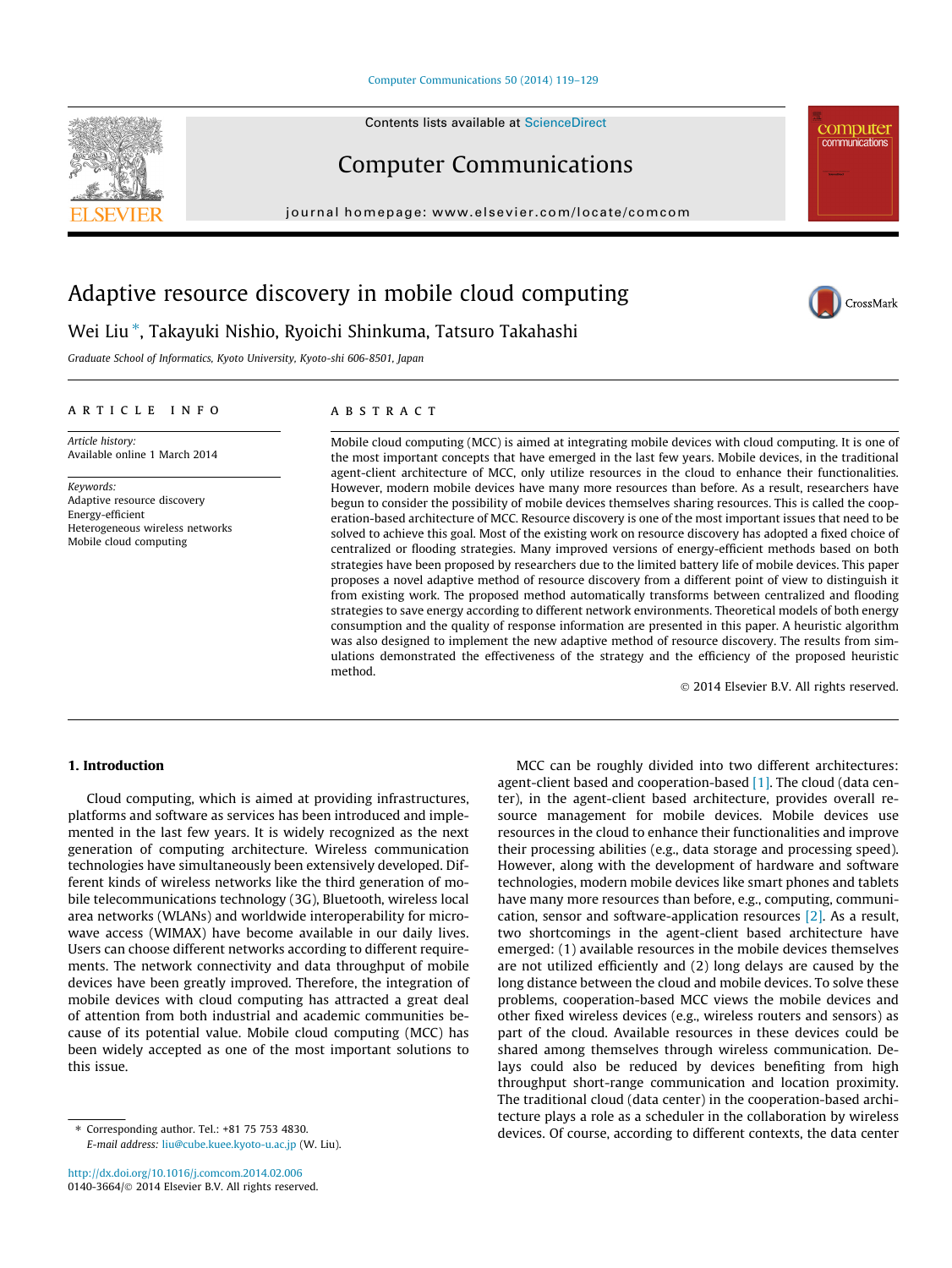#### [Computer Communications 50 \(2014\) 119–129](http://dx.doi.org/10.1016/j.comcom.2014.02.006)

Contents lists available at [ScienceDirect](http://www.sciencedirect.com/science/journal/01403664)

## Computer Communications

journal homepage: [www.elsevier.com/locate/comcom](http://www.elsevier.com/locate/comcom)

# Adaptive resource discovery in mobile cloud computing

Wei Liu ⇑ , Takayuki Nishio, Ryoichi Shinkuma, Tatsuro Takahashi

Graduate School of Informatics, Kyoto University, Kyoto-shi 606-8501, Japan

#### article info

Article history: Available online 1 March 2014

Keywords: Adaptive resource discovery Energy-efficient Heterogeneous wireless networks Mobile cloud computing

#### **ABSTRACT**

Mobile cloud computing (MCC) is aimed at integrating mobile devices with cloud computing. It is one of the most important concepts that have emerged in the last few years. Mobile devices, in the traditional agent-client architecture of MCC, only utilize resources in the cloud to enhance their functionalities. However, modern mobile devices have many more resources than before. As a result, researchers have begun to consider the possibility of mobile devices themselves sharing resources. This is called the cooperation-based architecture of MCC. Resource discovery is one of the most important issues that need to be solved to achieve this goal. Most of the existing work on resource discovery has adopted a fixed choice of centralized or flooding strategies. Many improved versions of energy-efficient methods based on both strategies have been proposed by researchers due to the limited battery life of mobile devices. This paper proposes a novel adaptive method of resource discovery from a different point of view to distinguish it from existing work. The proposed method automatically transforms between centralized and flooding strategies to save energy according to different network environments. Theoretical models of both energy consumption and the quality of response information are presented in this paper. A heuristic algorithm was also designed to implement the new adaptive method of resource discovery. The results from simulations demonstrated the effectiveness of the strategy and the efficiency of the proposed heuristic method.

- 2014 Elsevier B.V. All rights reserved.

#### 1. Introduction

Cloud computing, which is aimed at providing infrastructures, platforms and software as services has been introduced and implemented in the last few years. It is widely recognized as the next generation of computing architecture. Wireless communication technologies have simultaneously been extensively developed. Different kinds of wireless networks like the third generation of mobile telecommunications technology (3G), Bluetooth, wireless local area networks (WLANs) and worldwide interoperability for microwave access (WIMAX) have become available in our daily lives. Users can choose different networks according to different requirements. The network connectivity and data throughput of mobile devices have been greatly improved. Therefore, the integration of mobile devices with cloud computing has attracted a great deal of attention from both industrial and academic communities because of its potential value. Mobile cloud computing (MCC) has been widely accepted as one of the most important solutions to this issue.

⇑ Corresponding author. Tel.: +81 75 753 4830. E-mail address: [liu@cube.kuee.kyoto-u.ac.jp](mailto:liu@cube.kuee.kyoto-u.ac.jp) (W. Liu).

MCC can be roughly divided into two different architectures: agent-client based and cooperation-based [\[1\].](#page--1-0) The cloud (data center), in the agent-client based architecture, provides overall resource management for mobile devices. Mobile devices use resources in the cloud to enhance their functionalities and improve their processing abilities (e.g., data storage and processing speed). However, along with the development of hardware and software technologies, modern mobile devices like smart phones and tablets have many more resources than before, e.g., computing, communication, sensor and software-application resources [\[2\].](#page--1-0) As a result, two shortcomings in the agent-client based architecture have emerged: (1) available resources in the mobile devices themselves are not utilized efficiently and (2) long delays are caused by the long distance between the cloud and mobile devices. To solve these problems, cooperation-based MCC views the mobile devices and other fixed wireless devices (e.g., wireless routers and sensors) as part of the cloud. Available resources in these devices could be shared among themselves through wireless communication. Delays could also be reduced by devices benefiting from high throughput short-range communication and location proximity. The traditional cloud (data center) in the cooperation-based architecture plays a role as a scheduler in the collaboration by wireless devices. Of course, according to different contexts, the data center





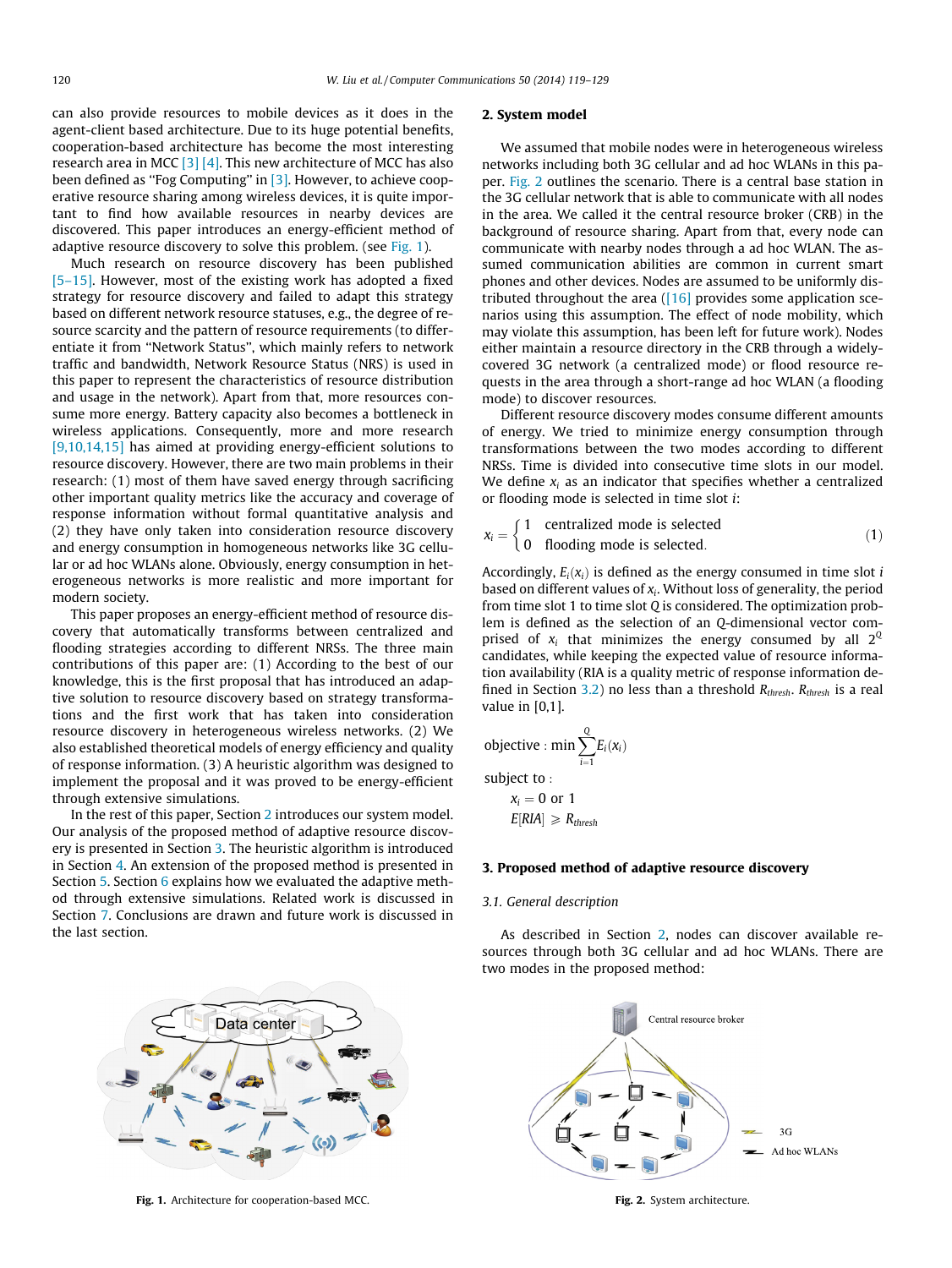2. System model

can also provide resources to mobile devices as it does in the agent-client based architecture. Due to its huge potential benefits, cooperation-based architecture has become the most interesting research area in MCC [\[3\] \[4\]](#page--1-0). This new architecture of MCC has also been defined as ''Fog Computing'' in [\[3\]](#page--1-0). However, to achieve cooperative resource sharing among wireless devices, it is quite important to find how available resources in nearby devices are discovered. This paper introduces an energy-efficient method of adaptive resource discovery to solve this problem. (see Fig. 1).

Much research on resource discovery has been published [\[5–15\].](#page--1-0) However, most of the existing work has adopted a fixed strategy for resource discovery and failed to adapt this strategy based on different network resource statuses, e.g., the degree of resource scarcity and the pattern of resource requirements (to differentiate it from ''Network Status'', which mainly refers to network traffic and bandwidth, Network Resource Status (NRS) is used in this paper to represent the characteristics of resource distribution and usage in the network). Apart from that, more resources consume more energy. Battery capacity also becomes a bottleneck in wireless applications. Consequently, more and more research [\[9,10,14,15\]](#page--1-0) has aimed at providing energy-efficient solutions to resource discovery. However, there are two main problems in their research: (1) most of them have saved energy through sacrificing other important quality metrics like the accuracy and coverage of response information without formal quantitative analysis and (2) they have only taken into consideration resource discovery and energy consumption in homogeneous networks like 3G cellular or ad hoc WLANs alone. Obviously, energy consumption in heterogeneous networks is more realistic and more important for modern society.

This paper proposes an energy-efficient method of resource discovery that automatically transforms between centralized and flooding strategies according to different NRSs. The three main contributions of this paper are: (1) According to the best of our knowledge, this is the first proposal that has introduced an adaptive solution to resource discovery based on strategy transformations and the first work that has taken into consideration resource discovery in heterogeneous wireless networks. (2) We also established theoretical models of energy efficiency and quality of response information. (3) A heuristic algorithm was designed to implement the proposal and it was proved to be energy-efficient through extensive simulations.

In the rest of this paper, Section 2 introduces our system model. Our analysis of the proposed method of adaptive resource discovery is presented in Section 3. The heuristic algorithm is introduced in Section [4](#page--1-0). An extension of the proposed method is presented in Section [5](#page--1-0). Section [6](#page--1-0) explains how we evaluated the adaptive method through extensive simulations. Related work is discussed in Section [7.](#page--1-0) Conclusions are drawn and future work is discussed in the last section.

the 3G cellular network that is able to communicate with all nodes in the area. We called it the central resource broker (CRB) in the background of resource sharing. Apart from that, every node can communicate with nearby nodes through a ad hoc WLAN. The assumed communication abilities are common in current smart phones and other devices. Nodes are assumed to be uniformly distributed throughout the area  $(16)$  provides some application scenarios using this assumption. The effect of node mobility, which may violate this assumption, has been left for future work). Nodes either maintain a resource directory in the CRB through a widelycovered 3G network (a centralized mode) or flood resource requests in the area through a short-range ad hoc WLAN (a flooding mode) to discover resources.

We assumed that mobile nodes were in heterogeneous wireless networks including both 3G cellular and ad hoc WLANs in this paper. Fig. 2 outlines the scenario. There is a central base station in

Different resource discovery modes consume different amounts of energy. We tried to minimize energy consumption through transformations between the two modes according to different NRSs. Time is divided into consecutive time slots in our model. We define  $x_i$  as an indicator that specifies whether a centralized or flooding mode is selected in time slot i:

$$
x_i = \begin{cases} 1 & \text{centralized mode is selected} \\ 0 & \text{floading mode is selected.} \end{cases}
$$
 (1)

Accordingly,  $E_i(x_i)$  is defined as the energy consumed in time slot i based on different values of  $x_i$ . Without loss of generality, the period from time slot 1 to time slot  $Q$  is considered. The optimization problem is defined as the selection of an Q-dimensional vector comprised of  $x_i$  that minimizes the energy consumed by all  $2^{\mathbb{Q}}$ candidates, while keeping the expected value of resource information availability (RIA is a quality metric of response information de-fined in Section [3.2](#page--1-0)) no less than a threshold  $R_{thresh}$ .  $R_{thresh}$  is a real value in [0,1].

objective : min 
$$
\sum_{i=1}^{Q} E_i(x_i)
$$
  
subject to :  
 $x_i = 0$  or 1

$$
E[RIA] \geq R_{thresh}
$$

### 3. Proposed method of adaptive resource discovery

#### 3.1. General description

As described in Section 2, nodes can discover available resources through both 3G cellular and ad hoc WLANs. There are two modes in the proposed method:



Fig. 1. Architecture for cooperation-based MCC. The results of the system architecture. Fig. 2. System architecture.